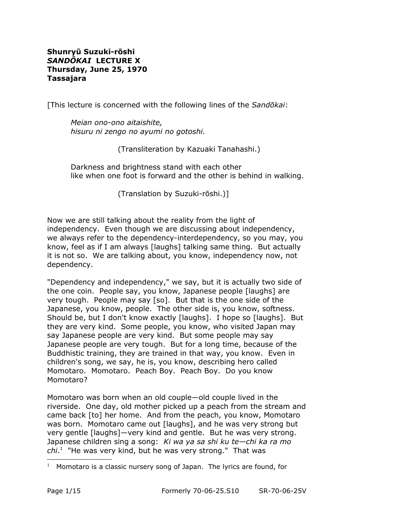### **Shunryū Suzuki-rōshi** *SANDŌKAI* **LECTURE X Thursday, June 25, 1970 Tassajara**

[This lecture is concerned with the following lines of the *Sandōkai*:

*Meian ono-ono aitaishite, hisuru ni zengo no ayumi no gotoshi.*

(Transliteration by Kazuaki Tanahashi.)

Darkness and brightness stand with each other like when one foot is forward and the other is behind in walking.

(Translation by Suzuki-rōshi.)]

Now we are still talking about the reality from the light of independency. Even though we are discussing about independency, we always refer to the dependency-interdependency, so you may, you know, feel as if I am always [laughs] talking same thing. But actually it is not so. We are talking about, you know, independency now, not dependency.

"Dependency and independency," we say, but it is actually two side of the one coin. People say, you know, Japanese people [laughs] are very tough. People may say [so]. But that is the one side of the Japanese, you know, people. The other side is, you know, softness. Should be, but I don't know exactly [laughs]. I hope so [laughs]. But they are very kind. Some people, you know, who visited Japan may say Japanese people are very kind. But some people may say Japanese people are very tough. But for a long time, because of the Buddhistic training, they are trained in that way, you know. Even in children's song, we say, he is, you know, describing hero called Momotaro. Momotaro. Peach Boy. Peach Boy. Do you know Momotaro?

Momotaro was born when an old couple—old couple lived in the riverside. One day, old mother picked up a peach from the stream and came back [to] her home. And from the peach, you know, Momotaro was born. Momotaro came out [laughs], and he was very strong but very gentle [laughs]—very kind and gentle. But he was very strong. Japanese children sing a song: *Ki wa ya sa shi ku te—chi ka ra mo chi*. [1](#page-0-0) "He was very kind, but he was very strong." That was

<span id="page-0-0"></span><sup>&</sup>lt;sup>1</sup> Momotaro is a classic nursery song of Japan. The lyrics are found, for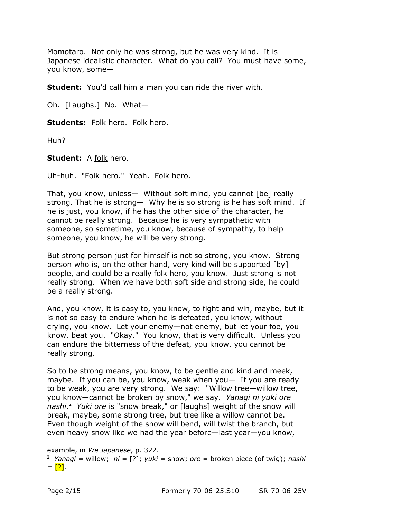Momotaro. Not only he was strong, but he was very kind. It is Japanese idealistic character. What do you call? You must have some, you know, some—

**Student:** You'd call him a man you can ride the river with.

Oh. [Laughs.] No. What—

**Students:** Folk hero. Folk hero.

Huh?

**Student:** A folk hero.

Uh-huh. "Folk hero." Yeah. Folk hero.

That, you know, unless— Without soft mind, you cannot [be] really strong. That he is strong— Why he is so strong is he has soft mind. If he is just, you know, if he has the other side of the character, he cannot be really strong. Because he is very sympathetic with someone, so sometime, you know, because of sympathy, to help someone, you know, he will be very strong.

But strong person just for himself is not so strong, you know. Strong person who is, on the other hand, very kind will be supported [by] people, and could be a really folk hero, you know. Just strong is not really strong. When we have both soft side and strong side, he could be a really strong.

And, you know, it is easy to, you know, to fight and win, maybe, but it is not so easy to endure when he is defeated, you know, without crying, you know. Let your enemy—not enemy, but let your foe, you know, beat you. "Okay." You know, that is very difficult. Unless you can endure the bitterness of the defeat, you know, you cannot be really strong.

So to be strong means, you know, to be gentle and kind and meek, maybe. If you can be, you know, weak when you— If you are ready to be weak, you are very strong. We say: "Willow tree—willow tree, you know—cannot be broken by snow," we say. *Yanagi ni yuki ore nashi*. [2](#page-1-0) *Yuki ore* is "snow break," or [laughs] weight of the snow will break, maybe, some strong tree, but tree like a willow cannot be. Even though weight of the snow will bend, will twist the branch, but even heavy snow like we had the year before—last year—you know,

example, in *We Japanese*, p. 322.

<span id="page-1-0"></span><sup>2</sup> *Yanagi* = willow; *ni* = [?]; *yuki* = snow; *ore* = broken piece (of twig); *nashi*  $=$  [?].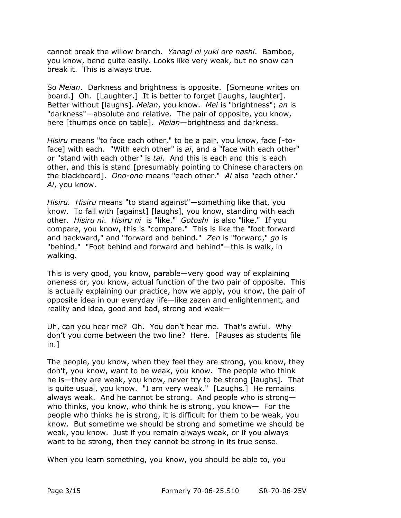cannot break the willow branch. *Yanagi ni yuki ore nashi*. Bamboo, you know, bend quite easily. Looks like very weak, but no snow can break it. This is always true.

So *Meian*. Darkness and brightness is opposite. [Someone writes on board.] Oh. [Laughter.] It is better to forget [laughs, laughter]. Better without [laughs]. *Meian*, you know. *Mei* is "brightness"; *an* is "darkness"—absolute and relative. The pair of opposite, you know, here [thumps once on table]. *Meian—*brightness and darkness.

*Hisiru* means "to face each other," to be a pair, you know, face [-toface] with each. "With each other" is *ai*, and a "face with each other" or "stand with each other" is *tai*. And this is each and this is each other, and this is stand [presumably pointing to Chinese characters on the blackboard]. *Ono-ono* means "each other." *Ai* also "each other." *Ai*, you know.

*Hisiru. Hisiru* means "to stand against"—something like that, you know. To fall with [against] [laughs], you know, standing with each other. *Hisiru ni*. *Hisiru ni* is "like." *Gotoshi* is also "like." If you compare, you know, this is "compare." This is like the "foot forward and backward," and "forward and behind." *Zen* is "forward," *go* is "behind." "Foot behind and forward and behind"—this is walk, in walking.

This is very good, you know, parable—very good way of explaining oneness or, you know, actual function of the two pair of opposite. This is actually explaining our practice, how we apply, you know, the pair of opposite idea in our everyday life—like zazen and enlightenment, and reality and idea, good and bad, strong and weak—

Uh, can you hear me? Oh. You don't hear me. That's awful. Why don't you come between the two line? Here. [Pauses as students file in.]

The people, you know, when they feel they are strong, you know, they don't, you know, want to be weak, you know. The people who think he is—they are weak, you know, never try to be strong [laughs]. That is quite usual, you know. "I am very weak." [Laughs.] He remains always weak. And he cannot be strong. And people who is strong who thinks, you know, who think he is strong, you know— For the people who thinks he is strong, it is difficult for them to be weak, you know. But sometime we should be strong and sometime we should be weak, you know. Just if you remain always weak, or if you always want to be strong, then they cannot be strong in its true sense.

When you learn something, you know, you should be able to, you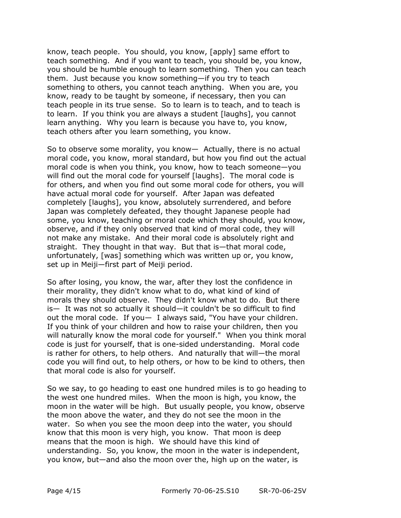know, teach people. You should, you know, [apply] same effort to teach something. And if you want to teach, you should be, you know, you should be humble enough to learn something. Then you can teach them. Just because you know something—if you try to teach something to others, you cannot teach anything. When you are, you know, ready to be taught by someone, if necessary, then you can teach people in its true sense. So to learn is to teach, and to teach is to learn. If you think you are always a student [laughs], you cannot learn anything. Why you learn is because you have to, you know, teach others after you learn something, you know.

So to observe some morality, you know— Actually, there is no actual moral code, you know, moral standard, but how you find out the actual moral code is when you think, you know, how to teach someone—you will find out the moral code for yourself [laughs]. The moral code is for others, and when you find out some moral code for others, you will have actual moral code for yourself. After Japan was defeated completely [laughs], you know, absolutely surrendered, and before Japan was completely defeated, they thought Japanese people had some, you know, teaching or moral code which they should, you know, observe, and if they only observed that kind of moral code, they will not make any mistake. And their moral code is absolutely right and straight. They thought in that way. But that is—that moral code, unfortunately, [was] something which was written up or, you know, set up in Meiji—first part of Meiji period.

So after losing, you know, the war, after they lost the confidence in their morality, they didn't know what to do, what kind of kind of morals they should observe. They didn't know what to do. But there is— It was not so actually it should—it couldn't be so difficult to find out the moral code. If you— I always said, "You have your children. If you think of your children and how to raise your children, then you will naturally know the moral code for yourself." When you think moral code is just for yourself, that is one-sided understanding. Moral code is rather for others, to help others. And naturally that will—the moral code you will find out, to help others, or how to be kind to others, then that moral code is also for yourself.

So we say, to go heading to east one hundred miles is to go heading to the west one hundred miles. When the moon is high, you know, the moon in the water will be high. But usually people, you know, observe the moon above the water, and they do not see the moon in the water. So when you see the moon deep into the water, you should know that this moon is very high, you know. That moon is deep means that the moon is high. We should have this kind of understanding. So, you know, the moon in the water is independent, you know, but—and also the moon over the, high up on the water, is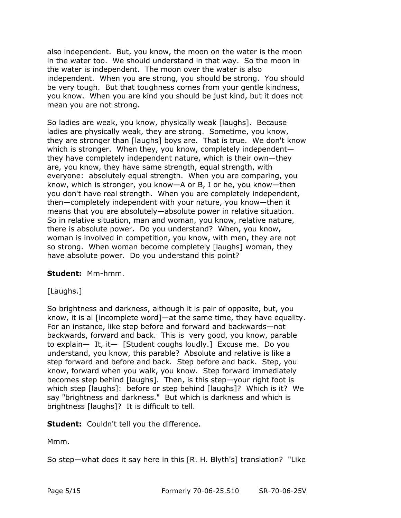also independent. But, you know, the moon on the water is the moon in the water too. We should understand in that way. So the moon in the water is independent. The moon over the water is also independent. When you are strong, you should be strong. You should be very tough. But that toughness comes from your gentle kindness, you know. When you are kind you should be just kind, but it does not mean you are not strong.

So ladies are weak, you know, physically weak [laughs]. Because ladies are physically weak, they are strong. Sometime, you know, they are stronger than [laughs] boys are. That is true. We don't know which is stronger. When they, you know, completely independent they have completely independent nature, which is their own—they are, you know, they have same strength, equal strength, with everyone: absolutely equal strength. When you are comparing, you know, which is stronger, you know—A or B, I or he, you know—then you don't have real strength. When you are completely independent, then—completely independent with your nature, you know—then it means that you are absolutely—absolute power in relative situation. So in relative situation, man and woman, you know, relative nature, there is absolute power. Do you understand? When, you know, woman is involved in competition, you know, with men, they are not so strong. When woman become completely [laughs] woman, they have absolute power. Do you understand this point?

# **Student:** Mm-hmm.

# [Laughs.]

So brightness and darkness, although it is pair of opposite, but, you know, it is al [incomplete word]—at the same time, they have equality. For an instance, like step before and forward and backwards—not backwards, forward and back. This is very good, you know, parable to explain— It, it— [Student coughs loudly.] Excuse me. Do you understand, you know, this parable? Absolute and relative is like a step forward and before and back. Step before and back. Step, you know, forward when you walk, you know. Step forward immediately becomes step behind [laughs]. Then, is this step—your right foot is which step [laughs]: before or step behind [laughs]? Which is it? We say "brightness and darkness." But which is darkness and which is brightness [laughs]? It is difficult to tell.

**Student:** Couldn't tell you the difference.

Mmm.

So step—what does it say here in this [R. H. Blyth's] translation? "Like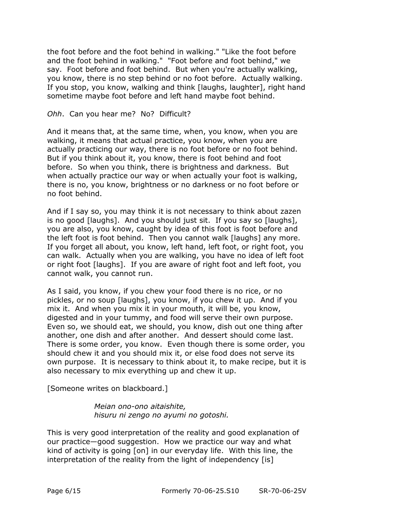the foot before and the foot behind in walking." "Like the foot before and the foot behind in walking." "Foot before and foot behind," we say. Foot before and foot behind. But when you're actually walking, you know, there is no step behind or no foot before. Actually walking. If you stop, you know, walking and think [laughs, laughter], right hand sometime maybe foot before and left hand maybe foot behind.

#### *Ohh*. Can you hear me? No? Difficult?

And it means that, at the same time, when, you know, when you are walking, it means that actual practice, you know, when you are actually practicing our way, there is no foot before or no foot behind. But if you think about it, you know, there is foot behind and foot before. So when you think, there is brightness and darkness. But when actually practice our way or when actually your foot is walking, there is no, you know, brightness or no darkness or no foot before or no foot behind.

And if I say so, you may think it is not necessary to think about zazen is no good [laughs]. And you should just sit. If you say so [laughs], you are also, you know, caught by idea of this foot is foot before and the left foot is foot behind. Then you cannot walk [laughs] any more. If you forget all about, you know, left hand, left foot, or right foot, you can walk. Actually when you are walking, you have no idea of left foot or right foot [laughs]. If you are aware of right foot and left foot, you cannot walk, you cannot run.

As I said, you know, if you chew your food there is no rice, or no pickles, or no soup [laughs], you know, if you chew it up. And if you mix it. And when you mix it in your mouth, it will be, you know, digested and in your tummy, and food will serve their own purpose. Even so, we should eat, we should, you know, dish out one thing after another, one dish and after another. And dessert should come last. There is some order, you know. Even though there is some order, you should chew it and you should mix it, or else food does not serve its own purpose. It is necessary to think about it, to make recipe, but it is also necessary to mix everything up and chew it up.

[Someone writes on blackboard.]

*Meian ono-ono aitaishite, hisuru ni zengo no ayumi no gotoshi.*

This is very good interpretation of the reality and good explanation of our practice—good suggestion. How we practice our way and what kind of activity is going [on] in our everyday life. With this line, the interpretation of the reality from the light of independency [is]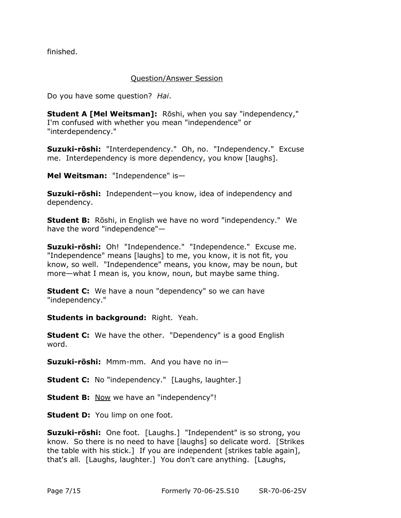finished.

#### Question/Answer Session

Do you have some question? *Hai*.

**Student A [Mel Weitsman]:** Rōshi, when you say "independency," I'm confused with whether you mean "independence" or "interdependency."

**Suzuki-rōshi:** "Interdependency." Oh, no. "Independency." Excuse me. Interdependency is more dependency, you know [laughs].

**Mel Weitsman:** "Independence" is—

**Suzuki-rōshi:** Independent—you know, idea of independency and dependency.

**Student B:** Rōshi, in English we have no word "independency." We have the word "independence"—

**Suzuki-rōshi:** Oh! "Independence." "Independence." Excuse me. "Independence" means [laughs] to me, you know, it is not fit, you know, so well. "Independence" means, you know, may be noun, but more—what I mean is, you know, noun, but maybe same thing.

**Student C:** We have a noun "dependency" so we can have "independency."

**Students in background:** Right. Yeah.

**Student C:** We have the other. "Dependency" is a good English word.

**Suzuki-rōshi:** Mmm-mm. And you have no in—

**Student C:** No "independency." [Laughs, laughter.]

**Student B:** Now we have an "independency"!

**Student D:** You limp on one foot.

**Suzuki-rōshi:** One foot. [Laughs.] "Independent" is so strong, you know. So there is no need to have [laughs] so delicate word. [Strikes the table with his stick.] If you are independent [strikes table again], that's all. [Laughs, laughter.] You don't care anything. [Laughs,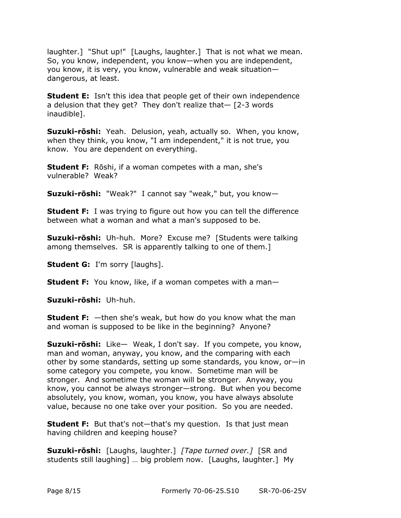laughter.] "Shut up!" [Laughs, laughter.] That is not what we mean. So, you know, independent, you know—when you are independent, you know, it is very, you know, vulnerable and weak situation dangerous, at least.

**Student E:** Isn't this idea that people get of their own independence a delusion that they get? They don't realize that— [2-3 words inaudible].

**Suzuki-rōshi:** Yeah. Delusion, yeah, actually so. When, you know, when they think, you know, "I am independent," it is not true, you know. You are dependent on everything.

**Student F:** Rōshi, if a woman competes with a man, she's vulnerable? Weak?

**Suzuki-rōshi:** "Weak?" I cannot say "weak," but, you know—

**Student F:** I was trying to figure out how you can tell the difference between what a woman and what a man's supposed to be.

**Suzuki-rōshi:** Uh-huh. More? Excuse me? [Students were talking among themselves. SR is apparently talking to one of them.]

**Student G:** I'm sorry [laughs].

**Student F:** You know, like, if a woman competes with a man-

**Suzuki-rōshi:** Uh-huh.

**Student F:** —then she's weak, but how do you know what the man and woman is supposed to be like in the beginning? Anyone?

**Suzuki-rōshi:** Like— Weak, I don't say. If you compete, you know, man and woman, anyway, you know, and the comparing with each other by some standards, setting up some standards, you know, or—in some category you compete, you know. Sometime man will be stronger. And sometime the woman will be stronger. Anyway, you know, you cannot be always stronger—strong. But when you become absolutely, you know, woman, you know, you have always absolute value, because no one take over your position. So you are needed.

**Student F:** But that's not—that's my question. Is that just mean having children and keeping house?

**Suzuki-rōshi:** [Laughs, laughter.] *[Tape turned over.]* [SR and students still laughing] … big problem now. [Laughs, laughter.] My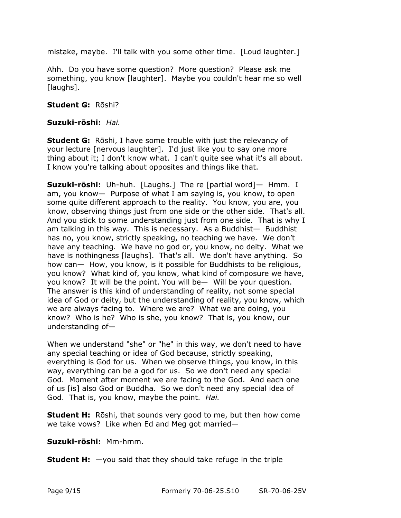mistake, maybe. I'll talk with you some other time. [Loud laughter.]

Ahh. Do you have some question? More question? Please ask me something, you know [laughter]. Maybe you couldn't hear me so well [laughs].

### **Student G:** Rōshi?

### **Suzuki-rōshi:** *Hai.*

**Student G:** Rōshi, I have some trouble with just the relevancy of your lecture [nervous laughter]. I'd just like you to say one more thing about it; I don't know what. I can't quite see what it's all about. I know you're talking about opposites and things like that.

**Suzuki-rōshi:** Uh-huh. [Laughs.] The re [partial word]— Hmm. I am, you know— Purpose of what I am saying is, you know, to open some quite different approach to the reality. You know, you are, you know, observing things just from one side or the other side. That's all. And you stick to some understanding just from one side. That is why I am talking in this way. This is necessary. As a Buddhist— Buddhist has no, you know, strictly speaking, no teaching we have. We don't have any teaching. We have no god or, you know, no deity. What we have is nothingness [laughs]. That's all. We don't have anything. So how can— How, you know, is it possible for Buddhists to be religious, you know? What kind of, you know, what kind of composure we have, you know? It will be the point. You will be— Will be your question. The answer is this kind of understanding of reality, not some special idea of God or deity, but the understanding of reality, you know, which we are always facing to. Where we are? What we are doing, you know? Who is he? Who is she, you know? That is, you know, our understanding of—

When we understand "she" or "he" in this way, we don't need to have any special teaching or idea of God because, strictly speaking, everything is God for us. When we observe things, you know, in this way, everything can be a god for us. So we don't need any special God. Moment after moment we are facing to the God. And each one of us [is] also God or Buddha. So we don't need any special idea of God. That is, you know, maybe the point. *Hai.*

**Student H:** Rōshi, that sounds very good to me, but then how come we take vows? Like when Ed and Meg got married—

**Suzuki-rōshi:** Mm-hmm.

**Student H:** —you said that they should take refuge in the triple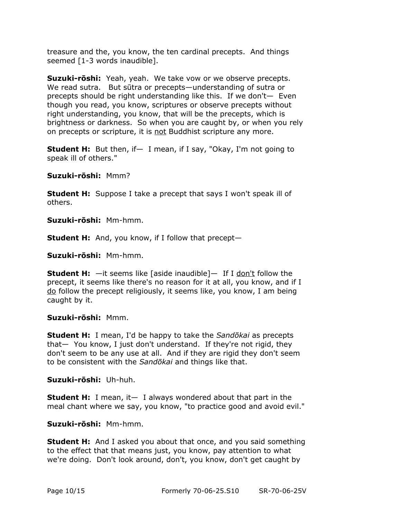treasure and the, you know, the ten cardinal precepts. And things seemed [1-3 words inaudible].

**Suzuki-rōshi:** Yeah, yeah. We take vow or we observe precepts. We read sutra. But sūtra or precepts—understanding of sutra or precepts should be right understanding like this. If we don't— Even though you read, you know, scriptures or observe precepts without right understanding, you know, that will be the precepts, which is brightness or darkness. So when you are caught by, or when you rely on precepts or scripture, it is not Buddhist scripture any more.

**Student H:** But then, if — I mean, if I say, "Okay, I'm not going to speak ill of others."

**Suzuki-rōshi:** Mmm?

**Student H:** Suppose I take a precept that says I won't speak ill of others.

**Suzuki-rōshi:** Mm-hmm.

**Student H:** And, you know, if I follow that precept—

**Suzuki-rōshi:** Mm-hmm.

**Student H:**  $-$ it seems like [aside inaudible]- If I don't follow the precept, it seems like there's no reason for it at all, you know, and if I do follow the precept religiously, it seems like, you know, I am being caught by it.

#### **Suzuki-rōshi:** Mmm.

**Student H:** I mean, I'd be happy to take the *Sandōkai* as precepts that— You know, I just don't understand. If they're not rigid, they don't seem to be any use at all. And if they are rigid they don't seem to be consistent with the *Sandōkai* and things like that.

**Suzuki-rōshi:** Uh-huh.

**Student H:** I mean, it— I always wondered about that part in the meal chant where we say, you know, "to practice good and avoid evil."

# **Suzuki-rōshi:** Mm-hmm.

**Student H:** And I asked you about that once, and you said something to the effect that that means just, you know, pay attention to what we're doing. Don't look around, don't, you know, don't get caught by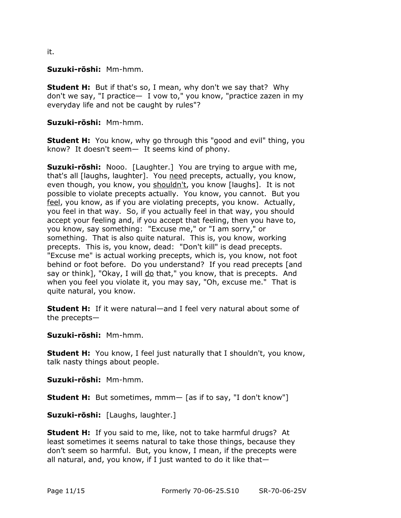it.

**Suzuki-rōshi:** Mm-hmm.

**Student H:** But if that's so, I mean, why don't we say that? Why don't we say, "I practice— I vow to," you know, "practice zazen in my everyday life and not be caught by rules"?

**Suzuki-rōshi:** Mm-hmm.

**Student H:** You know, why go through this "good and evil" thing, you know? It doesn't seem— It seems kind of phony.

**Suzuki-rōshi:** Nooo. [Laughter.] You are trying to argue with me, that's all [laughs, laughter]. You need precepts, actually, you know, even though, you know, you shouldn't, you know [laughs]. It is not possible to violate precepts actually. You know, you cannot. But you feel, you know, as if you are violating precepts, you know. Actually, you feel in that way. So, if you actually feel in that way, you should accept your feeling and, if you accept that feeling, then you have to, you know, say something: "Excuse me," or "I am sorry," or something. That is also quite natural. This is, you know, working precepts. This is, you know, dead: "Don't kill" is dead precepts. "Excuse me" is actual working precepts, which is, you know, not foot behind or foot before. Do you understand? If you read precepts [and say or think], "Okay, I will do that," you know, that is precepts. And when you feel you violate it, you may say, "Oh, excuse me." That is quite natural, you know.

**Student H:** If it were natural—and I feel very natural about some of the precepts—

**Suzuki-rōshi:** Mm-hmm.

**Student H:** You know, I feel just naturally that I shouldn't, you know, talk nasty things about people.

**Suzuki-rōshi:** Mm-hmm.

**Student H:** But sometimes, mmm— [as if to say, "I don't know"]

**Suzuki-rōshi:** [Laughs, laughter.]

**Student H:** If you said to me, like, not to take harmful drugs? At least sometimes it seems natural to take those things, because they don't seem so harmful. But, you know, I mean, if the precepts were all natural, and, you know, if I just wanted to do it like that—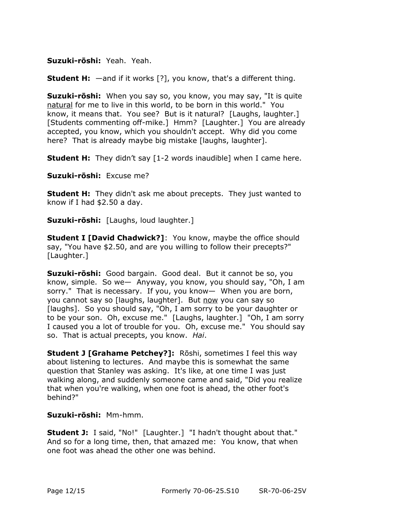### **Suzuki-rōshi:** Yeah. Yeah.

**Student H:**  $-$ and if it works [?], you know, that's a different thing.

**Suzuki-rōshi:** When you say so, you know, you may say, "It is quite natural for me to live in this world, to be born in this world." You know, it means that. You see? But is it natural? [Laughs, laughter.] [Students commenting off-mike.] Hmm? [Laughter.] You are already accepted, you know, which you shouldn't accept. Why did you come here? That is already maybe big mistake [laughs, laughter].

**Student H:** They didn't say [1-2 words inaudible] when I came here.

**Suzuki-rōshi:** Excuse me?

**Student H:** They didn't ask me about precepts. They just wanted to know if I had \$2.50 a day.

**Suzuki-rōshi:** [Laughs, loud laughter.]

**Student I [David Chadwick?]**: You know, maybe the office should say, "You have \$2.50, and are you willing to follow their precepts?" [Laughter.]

**Suzuki-rōshi:** Good bargain. Good deal. But it cannot be so, you know, simple. So we— Anyway, you know, you should say, "Oh, I am sorry." That is necessary. If you, you know— When you are born, you cannot say so [laughs, laughter]. But now you can say so [laughs]. So you should say, "Oh, I am sorry to be your daughter or to be your son. Oh, excuse me." [Laughs, laughter.] "Oh, I am sorry I caused you a lot of trouble for you. Oh, excuse me." You should say so. That is actual precepts, you know. *Hai*.

**Student J [Grahame Petchey?]:** Rōshi, sometimes I feel this way about listening to lectures. And maybe this is somewhat the same question that Stanley was asking. It's like, at one time I was just walking along, and suddenly someone came and said, "Did you realize that when you're walking, when one foot is ahead, the other foot's behind?"

# **Suzuki-rōshi:** Mm-hmm.

**Student J:** I said, "No!" [Laughter.] "I hadn't thought about that." And so for a long time, then, that amazed me: You know, that when one foot was ahead the other one was behind.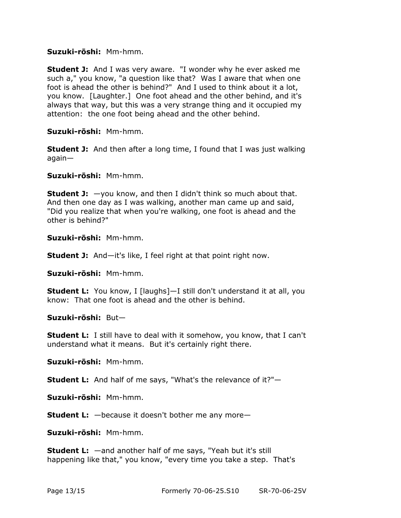#### **Suzuki-rōshi:** Mm-hmm.

**Student J:** And I was very aware. "I wonder why he ever asked me such a," you know, "a question like that? Was I aware that when one foot is ahead the other is behind?" And I used to think about it a lot, you know. [Laughter.] One foot ahead and the other behind, and it's always that way, but this was a very strange thing and it occupied my attention: the one foot being ahead and the other behind.

**Suzuki-rōshi:** Mm-hmm.

**Student J:** And then after a long time, I found that I was just walking again—

**Suzuki-rōshi:** Mm-hmm.

**Student J:**  $-y$ ou know, and then I didn't think so much about that. And then one day as I was walking, another man came up and said, "Did you realize that when you're walking, one foot is ahead and the other is behind?"

**Suzuki-rōshi:** Mm-hmm.

**Student J:** And—it's like, I feel right at that point right now.

**Suzuki-rōshi:** Mm-hmm.

**Student L:** You know, I [laughs]—I still don't understand it at all, you know: That one foot is ahead and the other is behind.

**Suzuki-rōshi:** But—

**Student L:** I still have to deal with it somehow, you know, that I can't understand what it means. But it's certainly right there.

**Suzuki-rōshi:** Mm-hmm.

**Student L:** And half of me says, "What's the relevance of it?"—

**Suzuki-rōshi:** Mm-hmm.

**Student L:** —because it doesn't bother me any more—

**Suzuki-rōshi:** Mm-hmm.

**Student L:** —and another half of me says, "Yeah but it's still happening like that," you know, "every time you take a step. That's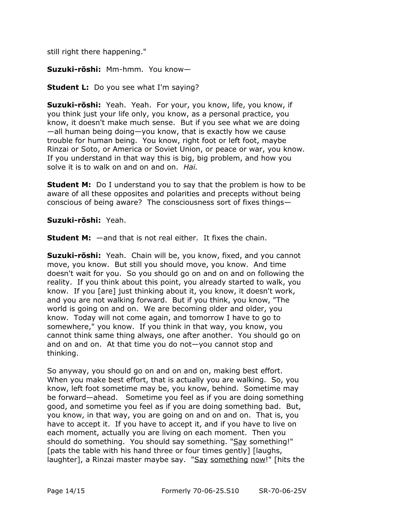still right there happening."

**Suzuki-rōshi:** Mm-hmm. You know—

**Student L:** Do you see what I'm saying?

**Suzuki-rōshi:** Yeah. Yeah. For your, you know, life, you know, if you think just your life only, you know, as a personal practice, you know, it doesn't make much sense. But if you see what we are doing —all human being doing—you know, that is exactly how we cause trouble for human being. You know, right foot or left foot, maybe Rinzai or Soto, or America or Soviet Union, or peace or war, you know. If you understand in that way this is big, big problem, and how you solve it is to walk on and on and on. *Hai.*

**Student M:** Do I understand you to say that the problem is how to be aware of all these opposites and polarities and precepts without being conscious of being aware? The consciousness sort of fixes things—

**Suzuki-rōshi:** Yeah.

**Student M:** —and that is not real either. It fixes the chain.

**Suzuki-rōshi:** Yeah. Chain will be, you know, fixed, and you cannot move, you know. But still you should move, you know. And time doesn't wait for you. So you should go on and on and on following the reality. If you think about this point, you already started to walk, you know. If you [are] just thinking about it, you know, it doesn't work, and you are not walking forward. But if you think, you know, "The world is going on and on. We are becoming older and older, you know. Today will not come again, and tomorrow I have to go to somewhere," you know. If you think in that way, you know, you cannot think same thing always, one after another. You should go on and on and on. At that time you do not—you cannot stop and thinking.

So anyway, you should go on and on and on, making best effort. When you make best effort, that is actually you are walking. So, you know, left foot sometime may be, you know, behind. Sometime may be forward—ahead. Sometime you feel as if you are doing something good, and sometime you feel as if you are doing something bad. But, you know, in that way, you are going on and on and on. That is, you have to accept it. If you have to accept it, and if you have to live on each moment, actually you are living on each moment. Then you should do something. You should say something. "Say something!" [pats the table with his hand three or four times gently] [laughs, laughter], a Rinzai master maybe say. "Say something now!" [hits the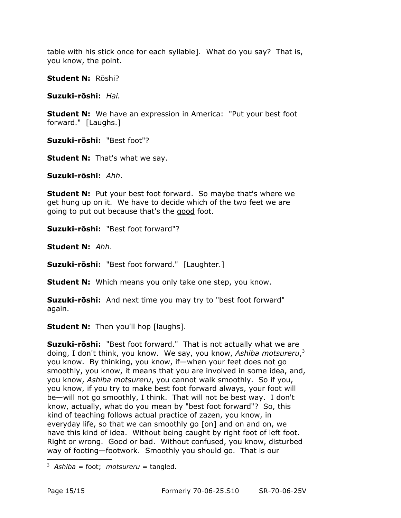table with his stick once for each syllable]. What do you say? That is, you know, the point.

**Student N:** Rōshi?

**Suzuki-rōshi:** *Hai.*

**Student N:** We have an expression in America: "Put your best foot forward." [Laughs.]

**Suzuki-rōshi:** "Best foot"?

**Student N:** That's what we say.

**Suzuki-rōshi:** *Ahh*.

**Student N:** Put your best foot forward. So maybe that's where we get hung up on it. We have to decide which of the two feet we are going to put out because that's the good foot.

**Suzuki-rōshi:** "Best foot forward"?

**Student N:** *Ahh*.

**Suzuki-rōshi:** "Best foot forward." [Laughter.]

**Student N:** Which means you only take one step, you know.

**Suzuki-rōshi:** And next time you may try to "best foot forward" again.

**Student N:** Then you'll hop [laughs].

**Suzuki-rōshi:** "Best foot forward." That is not actually what we are doing, I don't think, you know. We say, you know, *Ashiba motsureru*, [3](#page-14-0) you know. By thinking, you know, if—when your feet does not go smoothly, you know, it means that you are involved in some idea, and, you know, *Ashiba motsureru*, you cannot walk smoothly. So if you, you know, if you try to make best foot forward always, your foot will be—will not go smoothly, I think. That will not be best way. I don't know, actually, what do you mean by "best foot forward"? So, this kind of teaching follows actual practice of zazen, you know, in everyday life, so that we can smoothly go [on] and on and on, we have this kind of idea. Without being caught by right foot of left foot. Right or wrong. Good or bad. Without confused, you know, disturbed way of footing—footwork. Smoothly you should go. That is our

<span id="page-14-0"></span> $3$  *Ashiba* = foot; *motsureru* = tangled.